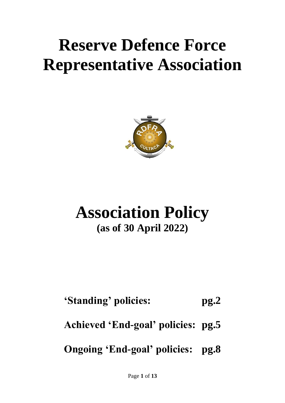# **Reserve Defence Force Representative Association**



## **Association Policy (as of 30 April 2022)**

### **'Standing' policies: pg.2**

#### **Achieved 'End-goal' policies: pg.5**

#### **Ongoing 'End-goal' policies: pg.8**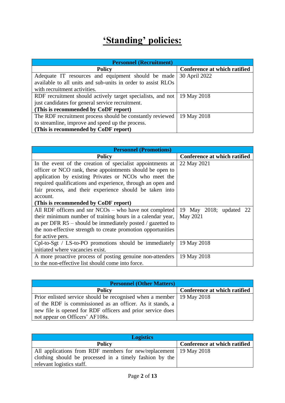#### **'Standing' policies:**

| <b>Personnel (Recruitment)</b>                                            |                              |
|---------------------------------------------------------------------------|------------------------------|
| <b>Policy</b>                                                             | Conference at which ratified |
| Adequate IT resources and equipment should be made                        | 30 April 2022                |
| available to all units and sub-units in order to assist RLOs              |                              |
| with recruitment activities.                                              |                              |
| RDF recruitment should actively target specialists, and not   19 May 2018 |                              |
| just candidates for general service recruitment.                          |                              |
| (This is recommended by CoDF report)                                      |                              |
| The RDF recruitment process should be constantly reviewed   19 May 2018   |                              |
| to streamline, improve and speed up the process.                          |                              |
| (This is recommended by CoDF report)                                      |                              |

| <b>Personnel (Promotions)</b>                                |                              |
|--------------------------------------------------------------|------------------------------|
| <b>Policy</b>                                                | Conference at which ratified |
| In the event of the creation of specialist appointments at   | 22 May 2021                  |
| officer or NCO rank, these appointments should be open to    |                              |
| application by existing Privates or NCOs who meet the        |                              |
| required qualifications and experience, through an open and  |                              |
| fair process, and their experience should be taken into      |                              |
| account.                                                     |                              |
| (This is recommended by CoDF report)                         |                              |
| All RDF officers and snr $NCOs$ – who have not completed     | 19 May 2018; updated 22      |
| their minimum number of training hours in a calendar year,   | May 2021                     |
| as per DFR $R5$ – should be immediately posted / gazetted to |                              |
| the non-effective strength to create promotion opportunities |                              |
| for active pers.                                             |                              |
| Cpl-to-Sgt / LS-to-PO promotions should be immediately       | 19 May 2018                  |
| initiated where vacancies exist.                             |                              |
| A more proactive process of posting genuine non-attenders    | 19 May 2018                  |
| to the non-effective list should come into force.            |                              |

| <b>Personnel (Other Matters)</b>                                        |                              |
|-------------------------------------------------------------------------|------------------------------|
| <b>Policy</b>                                                           | Conference at which ratified |
| Prior enlisted service should be recognised when a member   19 May 2018 |                              |
| of the RDF is commissioned as an officer. As it stands, a               |                              |
| new file is opened for RDF officers and prior service does              |                              |
| not appear on Officers' AF108s.                                         |                              |

| <b>Logistics</b>                                                    |                              |
|---------------------------------------------------------------------|------------------------------|
| <b>Policy</b>                                                       | Conference at which ratified |
| All applications from RDF members for new/replacement   19 May 2018 |                              |
| clothing should be processed in a timely fashion by the             |                              |
| relevant logistics staff.                                           |                              |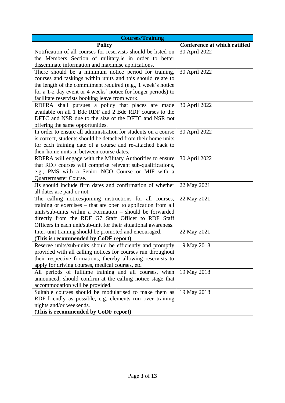| <b>Courses/Training</b>                                                                                                     |                              |
|-----------------------------------------------------------------------------------------------------------------------------|------------------------------|
| <b>Policy</b>                                                                                                               | Conference at which ratified |
| Notification of all courses for reservists should be listed on                                                              | 30 April 2022                |
| the Members Section of military.ie in order to better                                                                       |                              |
| disseminate information and maximise applications.                                                                          |                              |
| There should be a minimum notice period for training,                                                                       | 30 April 2022                |
| courses and taskings within units and this should relate to                                                                 |                              |
| the length of the commitment required (e.g., 1 week's notice                                                                |                              |
| for a 1-2 day event or 4 weeks' notice for longer periods) to                                                               |                              |
| facilitate reservists booking leave from work.                                                                              |                              |
| RDFRA shall pursues a policy that places are made                                                                           | 30 April 2022                |
| available on all 1 Bde RDF and 2 Bde RDF courses to the                                                                     |                              |
| DFTC and NSR due to the size of the DFTC and NSR not                                                                        |                              |
| offering the same opportunities.                                                                                            |                              |
| In order to ensure all administration for students on a course                                                              | 30 April 2022                |
| is correct, students should be detached from their home units                                                               |                              |
| for each training date of a course and re-attached back to                                                                  |                              |
| their home units in between course dates.                                                                                   |                              |
| RDFRA will engage with the Military Authorities to ensure                                                                   | 30 April 2022                |
| that RDF courses will comprise relevant sub-qualifications,                                                                 |                              |
| e.g., PMS with a Senior NCO Course or MIF with a                                                                            |                              |
| <b>Quartermaster Course.</b>                                                                                                |                              |
| JIs should include firm dates and confirmation of whether                                                                   | 22 May 2021                  |
| all dates are paid or not.                                                                                                  |                              |
| The calling notices/joining instructions for all courses,                                                                   | 22 May 2021                  |
| training or exercises – that are open to application from all                                                               |                              |
| units/sub-units within a Formation – should be forwarded                                                                    |                              |
| directly from the RDF G7 Staff Officer to RDF Staff                                                                         |                              |
| Officers in each unit/sub-unit for their situational awareness.                                                             |                              |
| Inter-unit training should be promoted and encouraged.                                                                      | 22 May 2021                  |
| (This is recommended by CoDF report)                                                                                        |                              |
| Reserve units/sub-units should be efficiently and promptly                                                                  | 19 May 2018                  |
| provided with all calling notices for courses run throughout<br>their respective formations, thereby allowing reservists to |                              |
|                                                                                                                             |                              |
| apply for driving courses, medical courses, etc.<br>All periods of fulltime training and all courses, when                  | 19 May 2018                  |
| announced, should confirm at the calling notice stage that                                                                  |                              |
| accommodation will be provided.                                                                                             |                              |
| Suitable courses should be modularised to make them as                                                                      | 19 May 2018                  |
| RDF-friendly as possible, e.g. elements run over training                                                                   |                              |
| nights and/or weekends.                                                                                                     |                              |
| (This is recommended by CoDF report)                                                                                        |                              |
|                                                                                                                             |                              |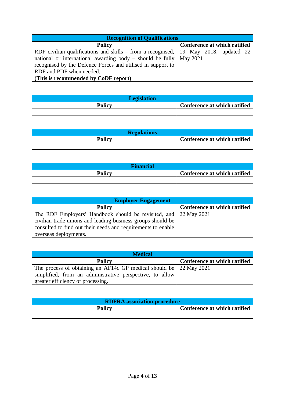| <b>Recognition of Qualifications</b>                                                        |                              |
|---------------------------------------------------------------------------------------------|------------------------------|
| <b>Policy</b>                                                                               | Conference at which ratified |
| RDF civilian qualifications and skills – from a recognised, $\vert$ 19 May 2018; updated 22 |                              |
| national or international awarding body – should be fully $\vert$ May 2021                  |                              |
| recognised by the Defence Forces and utilised in support to                                 |                              |
| RDF and PDF when needed.                                                                    |                              |
| (This is recommended by CoDF report)                                                        |                              |

| <b>Legislation</b> |                                     |
|--------------------|-------------------------------------|
| <b>Policy</b>      | <b>Conference at which ratified</b> |
|                    |                                     |

| <b>Regulations</b> |                              |
|--------------------|------------------------------|
| <b>Policy</b>      | Conference at which ratified |
|                    |                              |

| <b>Financial</b> |                              |
|------------------|------------------------------|
| <b>Policy</b>    | Conference at which ratified |
|                  |                              |

| <b>Employer Engagement</b>                                       |                              |
|------------------------------------------------------------------|------------------------------|
| <b>Policy</b>                                                    | Conference at which ratified |
| The RDF Employers' Handbook should be revisited, and 22 May 2021 |                              |
| civilian trade unions and leading business groups should be      |                              |
| consulted to find out their needs and requirements to enable     |                              |
| overseas deployments.                                            |                              |

| <b>Medical</b>                                                     |                              |
|--------------------------------------------------------------------|------------------------------|
| <b>Policy</b>                                                      | Conference at which ratified |
| The process of obtaining an AF14c GP medical should be 22 May 2021 |                              |
| simplified, from an administrative perspective, to allow           |                              |
| greater efficiency of processing.                                  |                              |

| <b>RDFRA</b> association procedure |                              |
|------------------------------------|------------------------------|
| <b>Policy</b>                      | Conference at which ratified |
|                                    |                              |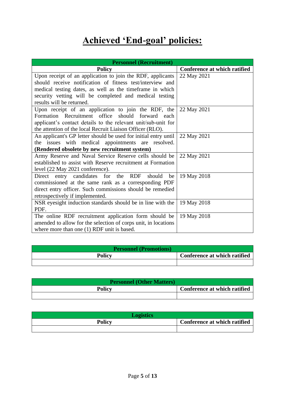#### **Achieved 'End-goal' policies:**

| <b>Personnel (Recruitment)</b>                                  |                              |
|-----------------------------------------------------------------|------------------------------|
| <b>Policy</b>                                                   | Conference at which ratified |
| Upon receipt of an application to join the RDF, applicants      | 22 May 2021                  |
| should receive notification of fitness test/interview and       |                              |
| medical testing dates, as well as the timeframe in which        |                              |
| security vetting will be completed and medical testing          |                              |
| results will be returned.                                       |                              |
| Upon receipt of an application to join the RDF, the             | 22 May 2021                  |
| Formation Recruitment office should forward each                |                              |
| applicant's contact details to the relevant unit/sub-unit for   |                              |
| the attention of the local Recruit Liaison Officer (RLO).       |                              |
| An applicant's GP letter should be used for initial entry until | 22 May 2021                  |
| the issues with medical appointments are resolved.              |                              |
| (Rendered obsolete by new recruitment system)                   |                              |
| Army Reserve and Naval Service Reserve cells should be          | 22 May 2021                  |
| established to assist with Reserve recruitment at Formation     |                              |
| level (22 May 2021 conference).                                 |                              |
| Direct entry candidates for the RDF<br>should<br>be             | 19 May 2018                  |
| commissioned at the same rank as a corresponding PDF            |                              |
| direct entry officer. Such commissions should be remedied       |                              |
| retrospectively if implemented.                                 |                              |
| NSR eyesight induction standards should be in line with the     | 19 May 2018                  |
| PDF.                                                            |                              |
| The online RDF recruitment application form should be           | 19 May 2018                  |
| amended to allow for the selection of corps unit, in locations  |                              |
| where more than one $(1)$ RDF unit is based.                    |                              |

| <b>Personnel (Promotions)</b> |                              |
|-------------------------------|------------------------------|
| <b>Policy</b>                 | Conference at which ratified |
|                               |                              |

| <b>Personnel (Other Matters)</b> |                              |
|----------------------------------|------------------------------|
| <b>Policy</b>                    | Conference at which ratified |
|                                  |                              |

| <b>Logistics</b> |                              |
|------------------|------------------------------|
| <b>Policy</b>    | Conference at which ratified |
|                  |                              |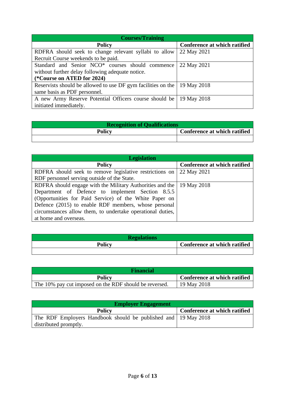| <b>Courses/Training</b>                                      |                              |
|--------------------------------------------------------------|------------------------------|
| <b>Policy</b>                                                | Conference at which ratified |
| RDFRA should seek to change relevant syllabi to allow        | 22 May 2021                  |
| Recruit Course weekends to be paid.                          |                              |
| Standard and Senior NCO* courses should commence             | 22 May 2021                  |
| without further delay following adequate notice.             |                              |
| (*Course on ATED for 2024)                                   |                              |
| Reservists should be allowed to use DF gym facilities on the | 19 May 2018                  |
| same basis as PDF personnel.                                 |                              |
| A new Army Reserve Potential Officers course should be       | 19 May 2018                  |
| initiated immediately.                                       |                              |

| <b>Recognition of Qualifications</b> |                              |
|--------------------------------------|------------------------------|
| <b>Policy</b>                        | Conference at which ratified |
|                                      |                              |

| <b>Legislation</b>                                                    |                              |
|-----------------------------------------------------------------------|------------------------------|
| <b>Policy</b>                                                         | Conference at which ratified |
| RDFRA should seek to remove legislative restrictions on               | 22 May 2021                  |
| RDF personnel serving outside of the State.                           |                              |
| RDFRA should engage with the Military Authorities and the 19 May 2018 |                              |
| Department of Defence to implement Section 8.5.5                      |                              |
| (Opportunities for Paid Service) of the White Paper on                |                              |
| Defence (2015) to enable RDF members, whose personal                  |                              |
| circumstances allow them, to undertake operational duties,            |                              |
| at home and overseas.                                                 |                              |

| <b>Regulations</b> |                              |
|--------------------|------------------------------|
| <b>Policy</b>      | Conference at which ratified |
|                    |                              |

| <b>Financial</b>                                       |                              |
|--------------------------------------------------------|------------------------------|
| <b>Policy</b>                                          | Conference at which ratified |
| The 10% pay cut imposed on the RDF should be reversed. | 19 May 2018                  |

| <b>Employer Engagement</b>                                     |                              |
|----------------------------------------------------------------|------------------------------|
| <b>Policy</b>                                                  | Conference at which ratified |
| The RDF Employers Handbook should be published and 19 May 2018 |                              |
| distributed promptly.                                          |                              |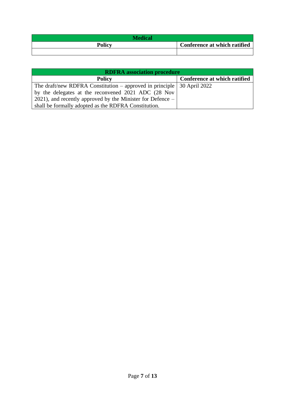| <b>Medical</b> |                              |
|----------------|------------------------------|
| <b>Policy</b>  | Conference at which ratified |
|                |                              |

| <b>RDFRA</b> association procedure                                             |                              |
|--------------------------------------------------------------------------------|------------------------------|
| <b>Policy</b>                                                                  | Conference at which ratified |
| The draft/new RDFRA Constitution – approved in principle $\vert$ 30 April 2022 |                              |
| by the delegates at the reconvened 2021 ADC (28 Nov                            |                              |
| 2021), and recently approved by the Minister for Defence $-$                   |                              |
| shall be formally adopted as the RDFRA Constitution.                           |                              |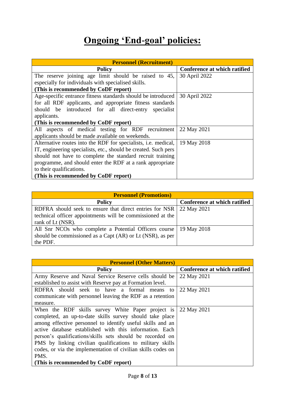#### **Ongoing 'End-goal' policies:**

| <b>Personnel (Recruitment)</b>                                  |                              |
|-----------------------------------------------------------------|------------------------------|
| <b>Policy</b>                                                   | Conference at which ratified |
| The reserve joining age limit should be raised to 45,           | 30 April 2022                |
| especially for individuals with specialised skills.             |                              |
| (This is recommended by CoDF report)                            |                              |
| Age-specific entrance fitness standards should be introduced    | 30 April 2022                |
| for all RDF applicants, and appropriate fitness standards       |                              |
| should be introduced for all direct-entry specialist            |                              |
| applicants.                                                     |                              |
| (This is recommended by CoDF report)                            |                              |
| All aspects of medical testing for RDF recruitment              | 22 May 2021                  |
| applicants should be made available on weekends.                |                              |
| Alternative routes into the RDF for specialists, i.e. medical,  | 19 May 2018                  |
| IT, engineering specialists, etc., should be created. Such pers |                              |
| should not have to complete the standard recruit training       |                              |
| programme, and should enter the RDF at a rank appropriate       |                              |
| to their qualifications.                                        |                              |
| (This is recommended by CoDF report)                            |                              |

| <b>Personnel (Promotions)</b>                              |                              |
|------------------------------------------------------------|------------------------------|
| <b>Policy</b>                                              | Conference at which ratified |
| RDFRA should seek to ensure that direct entries for NSR    | 22 May 2021                  |
| technical officer appointments will be commissioned at the |                              |
| rank of Lt (NSR).                                          |                              |
| All Snr NCOs who complete a Potential Officers course      | 19 May 2018                  |
| should be commissioned as a Capt (AR) or Lt (NSR), as per  |                              |
| the PDF.                                                   |                              |

| <b>Personnel (Other Matters)</b>                             |                              |
|--------------------------------------------------------------|------------------------------|
| <b>Policy</b>                                                | Conference at which ratified |
| Army Reserve and Naval Service Reserve cells should be       | 22 May 2021                  |
| established to assist with Reserve pay at Formation level.   |                              |
| RDFRA should seek to have a formal means<br>to               | 22 May 2021                  |
| communicate with personnel leaving the RDF as a retention    |                              |
| measure.                                                     |                              |
| When the RDF skills survey White Paper project is            | 22 May 2021                  |
| completed, an up-to-date skills survey should take place     |                              |
| among effective personnel to identify useful skills and an   |                              |
| active database established with this information. Each      |                              |
| person's qualifications/skills sets should be recorded on    |                              |
| PMS by linking civilian qualifications to military skills    |                              |
| codes, or via the implementation of civilian skills codes on |                              |
| PMS.                                                         |                              |
| (This is recommended by CoDF report)                         |                              |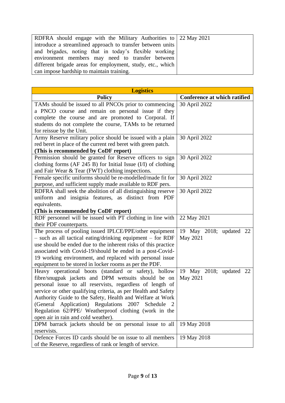| RDFRA should engage with the Military Authorities to $\sqrt{22}$ May 2021 |  |
|---------------------------------------------------------------------------|--|
| introduce a streamlined approach to transfer between units                |  |
| and brigades, noting that in today's flexible working                     |  |
| environment members may need to transfer between                          |  |
| different brigade areas for employment, study, etc., which                |  |
| can impose hardship to maintain training.                                 |  |

| <b>Logistics</b>                                                                                                                                                                                                                                                                                                                                                                                                                                                                |                                     |
|---------------------------------------------------------------------------------------------------------------------------------------------------------------------------------------------------------------------------------------------------------------------------------------------------------------------------------------------------------------------------------------------------------------------------------------------------------------------------------|-------------------------------------|
| <b>Policy</b>                                                                                                                                                                                                                                                                                                                                                                                                                                                                   | Conference at which ratified        |
| TAMs should be issued to all PNCOs prior to commencing<br>a PNCO course and remain on personal issue if they<br>complete the course and are promoted to Corporal. If<br>students do not complete the course, TAMs to be returned<br>for reissue by the Unit.                                                                                                                                                                                                                    | 30 April 2022                       |
| Army Reserve military police should be issued with a plain<br>red beret in place of the current red beret with green patch.<br>(This is recommended by CoDF report)                                                                                                                                                                                                                                                                                                             | 30 April 2022                       |
| Permission should be granted for Reserve officers to sign<br>clothing forms (AF $245 B$ ) for Initial Issue (I/I) of clothing<br>and Fair Wear & Tear (FWT) clothing inspections.                                                                                                                                                                                                                                                                                               | 30 April 2022                       |
| Female specific uniforms should be re-modelled/made fit for<br>purpose, and sufficient supply made available to RDF pers.                                                                                                                                                                                                                                                                                                                                                       | 30 April 2022                       |
| RDFRA shall seek the abolition of all distinguishing reserve<br>uniform and insignia features, as distinct from PDF<br>equivalents.<br>(This is recommended by CoDF report)                                                                                                                                                                                                                                                                                                     | 30 April 2022                       |
| RDF personnel will be issued with PT clothing in line with<br>their PDF counterparts.                                                                                                                                                                                                                                                                                                                                                                                           | 22 May 2021                         |
| The process of pooling issued IPLCE/PPE/other equipment<br>$-$ such as all tactical eating/drinking equipment $-$ for RDF<br>use should be ended due to the inherent risks of this practice<br>associated with Covid-19/should be ended in a post-Covid-<br>19 working environment, and replaced with personal issue<br>equipment to be stored in locker rooms as per the PDF.                                                                                                  | 19 May 2018; updated 22<br>May 2021 |
| Heavy operational boots (standard or safety), hollow<br>fibre/snugpak jackets and DPM wetsuits should be on<br>personal issue to all reservists, regardless of length of<br>service or other qualifying criteria, as per Health and Safety<br>Authority Guide to the Safety, Health and Welfare at Work<br>(General Application) Regulations 2007<br>Schedule<br>$\overline{2}$<br>Regulation 62/PPE/ Weatherproof clothing (work in the<br>open air in rain and cold weather). | 19 May 2018; updated 22<br>May 2021 |
| DPM barrack jackets should be on personal issue to all<br>reservists.                                                                                                                                                                                                                                                                                                                                                                                                           | 19 May 2018                         |
| Defence Forces ID cards should be on issue to all members<br>of the Reserve, regardless of rank or length of service.                                                                                                                                                                                                                                                                                                                                                           | 19 May 2018                         |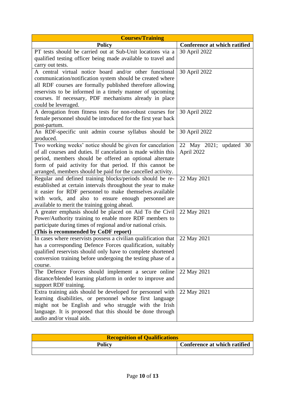| <b>Courses/Training</b>                                                                                                |                              |
|------------------------------------------------------------------------------------------------------------------------|------------------------------|
| <b>Policy</b>                                                                                                          | Conference at which ratified |
| PT tests should be carried out at Sub-Unit locations via a                                                             | 30 April 2022                |
| qualified testing officer being made available to travel and                                                           |                              |
| carry out tests.                                                                                                       |                              |
| A central virtual notice board and/or other functional                                                                 | 30 April 2022                |
| communication/notification system should be created where                                                              |                              |
| all RDF courses are formally published therefore allowing                                                              |                              |
| reservists to be informed in a timely manner of upcoming<br>courses. If necessary, PDF mechanisms already in place     |                              |
| could be leveraged.                                                                                                    |                              |
| A derogation from fitness tests for non-robust courses for                                                             | 30 April 2022                |
| female personnel should be introduced for the first year back                                                          |                              |
| post-partum.                                                                                                           |                              |
| An RDF-specific unit admin course syllabus should be                                                                   | 30 April 2022                |
| produced.                                                                                                              |                              |
| Two working weeks' notice should be given for cancelation                                                              | 22 May 2021; updated 30      |
| of all courses and duties. If cancelation is made within this                                                          | April 2022                   |
| period, members should be offered an optional alternate                                                                |                              |
| form of paid activity for that period. If this cannot be                                                               |                              |
| arranged, members should be paid for the cancelled activity.                                                           |                              |
| Regular and defined training blocks/periods should be re-                                                              | 22 May 2021                  |
| established at certain intervals throughout the year to make                                                           |                              |
| it easier for RDF personnel to make themselves available                                                               |                              |
| with work, and also to ensure enough personnel are<br>available to merit the training going ahead.                     |                              |
| A greater emphasis should be placed on Aid To the Civil                                                                | 22 May 2021                  |
| Power/Authority training to enable more RDF members to                                                                 |                              |
| participate during times of regional and/or national crisis.                                                           |                              |
| (This is recommended by CoDF report)                                                                                   |                              |
| In cases where reservists possess a civilian qualification that                                                        | 22 May 2021                  |
| has a corresponding Defence Forces qualification, suitably                                                             |                              |
| qualified reservists should only have to complete shortened                                                            |                              |
| conversion training before undergoing the testing phase of a                                                           |                              |
| course.                                                                                                                |                              |
| The Defence Forces should implement a secure online                                                                    | 22 May 2021                  |
| distance/blended learning platform in order to improve and                                                             |                              |
| support RDF training.                                                                                                  |                              |
| Extra training aids should be developed for personnel with<br>learning disabilities, or personnel whose first language | 22 May 2021                  |
| might not be English and who struggle with the Irish                                                                   |                              |
| language. It is proposed that this should be done through                                                              |                              |
| audio and/or visual aids.                                                                                              |                              |

| <b>Recognition of Qualifications</b> |                              |
|--------------------------------------|------------------------------|
| <b>Policy</b>                        | Conference at which ratified |
|                                      |                              |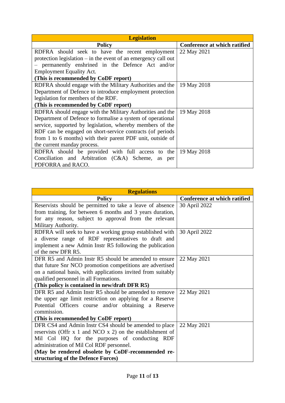| <b>Legislation</b>                                               |                              |
|------------------------------------------------------------------|------------------------------|
| <b>Policy</b>                                                    | Conference at which ratified |
| RDFRA should seek to have the recent employment                  | 22 May 2021                  |
| protection legislation $-$ in the event of an emergency call out |                              |
| - permanently enshrined in the Defence Act and/or                |                              |
| <b>Employment Equality Act.</b>                                  |                              |
| (This is recommended by CoDF report)                             |                              |
| RDFRA should engage with the Military Authorities and the        | 19 May 2018                  |
| Department of Defence to introduce employment protection         |                              |
| legislation for members of the RDF.                              |                              |
| (This is recommended by CoDF report)                             |                              |
| RDFRA should engage with the Military Authorities and the        | 19 May 2018                  |
| Department of Defence to formalise a system of operational       |                              |
| service, supported by legislation, whereby members of the        |                              |
| RDF can be engaged on short-service contracts (of periods        |                              |
| from 1 to 6 months) with their parent PDF unit, outside of       |                              |
| the current manday process.                                      |                              |
| RDFRA should be provided with full access to the                 | 19 May 2018                  |
| Conciliation and Arbitration (C&A) Scheme,<br>as<br>per          |                              |
| PDFORRA and RACO.                                                |                              |

| <b>Regulations</b>                                            |                              |
|---------------------------------------------------------------|------------------------------|
| <b>Policy</b>                                                 | Conference at which ratified |
| Reservists should be permitted to take a leave of absence     | 30 April 2022                |
| from training, for between 6 months and 3 years duration,     |                              |
| for any reason, subject to approval from the relevant         |                              |
| Military Authority.                                           |                              |
| RDFRA will seek to have a working group established with      | 30 April 2022                |
| a diverse range of RDF representatives to draft and           |                              |
| implement a new Admin Instr R5 following the publication      |                              |
| of the new DFR R5.                                            |                              |
| DFR R5 and Admin Instr R5 should be amended to ensure         | 22 May 2021                  |
| that future Snr NCO promotion competitions are advertised     |                              |
| on a national basis, with applications invited from suitably  |                              |
| qualified personnel in all Formations.                        |                              |
| (This policy is contained in new/draft DFR R5)                |                              |
| DFR R5 and Admin Instr R5 should be amended to remove         | 22 May 2021                  |
| the upper age limit restriction on applying for a Reserve     |                              |
| Potential Officers course and/or obtaining a Reserve          |                              |
| commission.                                                   |                              |
| (This is recommended by CoDF report)                          |                              |
| DFR CS4 and Admin Instr CS4 should be amended to place        | 22 May 2021                  |
| reservists (Offr $x$ 1 and NCO $x$ 2) on the establishment of |                              |
| Mil Col HQ for the purposes of conducting RDF                 |                              |
| administration of Mil Col RDF personnel.                      |                              |
| (May be rendered obsolete by CoDF-recommended re-             |                              |
| structuring of the Defence Forces)                            |                              |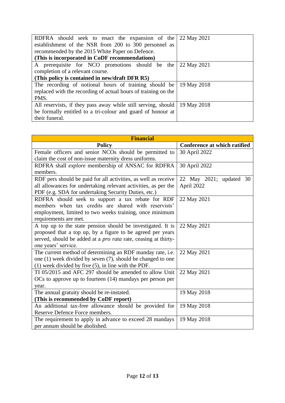| RDFRA should seek to enact the expansion of the                             | 22 May 2021 |
|-----------------------------------------------------------------------------|-------------|
| establishment of the NSR from 200 to 300 personnel as                       |             |
| recommended by the 2015 White Paper on Defence.                             |             |
| (This is incorporated in CoDF recommendations)                              |             |
| A prerequisite for NCO promotions should be the                             | 22 May 2021 |
| completion of a relevant course.                                            |             |
| (This policy is contained in new/draft DFR R5)                              |             |
| The recording of notional hours of training should be $\vert$ 19 May 2018   |             |
| replaced with the recording of actual hours of training on the              |             |
| PMS.                                                                        |             |
| All reservists, if they pass away while still serving, should   19 May 2018 |             |
| be formally entitled to a tri-colour and guard of honour at                 |             |
| their funeral.                                                              |             |

| <b>Financial</b>                                                      |                              |
|-----------------------------------------------------------------------|------------------------------|
| <b>Policy</b>                                                         | Conference at which ratified |
| Female officers and senior NCOs should be permitted to                | 30 April 2022                |
| claim the cost of non-issue maternity dress uniforms.                 |                              |
| RDFRA shall explore membership of ANSAC for RDFRA                     | 30 April 2022                |
| members.                                                              |                              |
| RDF pers should be paid for all activities, as well as receive        | 22 May 2021; updated 30      |
| all allowances for undertaking relevant activities, as per the        | April 2022                   |
| PDF (e.g. SDA for undertaking Security Duties, etc.)                  |                              |
| RDFRA should seek to support a tax rebate for RDF                     | 22 May 2021                  |
| members when tax credits are shared with reservists'                  |                              |
| employment, limited to two weeks training, once minimum               |                              |
| requirements are met.                                                 |                              |
| A top up to the state pension should be investigated. It is           | 22 May 2021                  |
| proposed that a top up, by a figure to be agreed per years            |                              |
| served, should be added at a pro rata rate, ceasing at thirty-        |                              |
| one years' service.                                                   |                              |
| The current method of determining an RDF manday rate, i.e.            | 22 May 2021                  |
| one (1) week divided by seven (7), should be changed to one           |                              |
| $(1)$ week divided by five $(5)$ , in line with the PDF.              |                              |
| TI 05/2015 and AFC 297 should be amended to allow Unit                | 22 May 2021                  |
| $\overline{OC}$ to approve up to fourteen (14) mandays per person per |                              |
| year.                                                                 |                              |
| The annual gratuity should be re-instated.                            | 19 May 2018                  |
| (This is recommended by CoDF report)                                  |                              |
| An additional tax-free allowance should be provided for               | 19 May 2018                  |
| Reserve Defence Force members.                                        |                              |
| The requirement to apply in advance to exceed 28 mandays              | 19 May 2018                  |
| per annum should be abolished.                                        |                              |